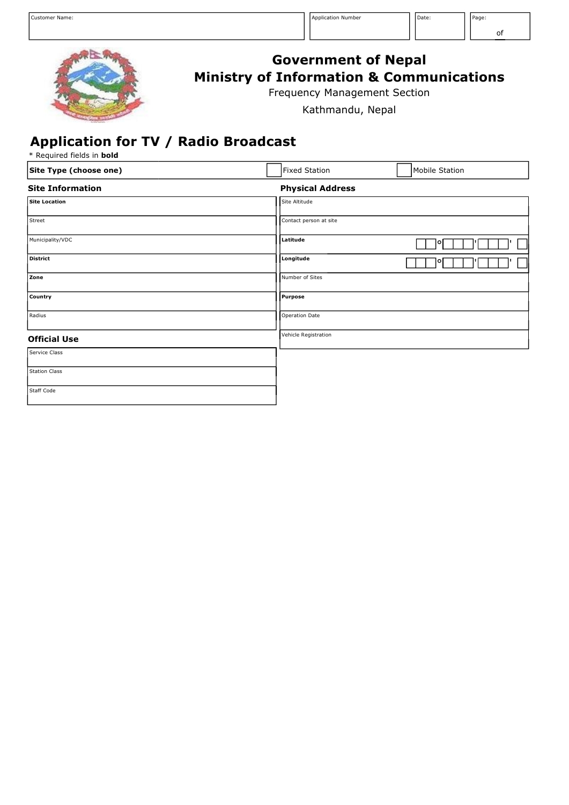

## **Government of Nepal Ministry of Information & Communications**

Frequency Management Section

Kathmandu, Nepal

## **Application for TV / Radio Broadcast**

\* Required fields in **bold**

| Site Type (choose one)  | <b>Fixed Station</b>    | Mobile Station |
|-------------------------|-------------------------|----------------|
| <b>Site Information</b> | <b>Physical Address</b> |                |
| <b>Site Location</b>    | Site Altitude           |                |
| Street                  | Contact person at site  |                |
| Municipality/VDC        | Latitude                | o              |
| <b>District</b>         | Longitude               | ۰              |
| Zone                    | Number of Sites         |                |
| Country                 | Purpose                 |                |
| Radius                  | Operation Date          |                |
| <b>Official Use</b>     | Vehicle Registration    |                |
| Service Class           |                         |                |
| <b>Station Class</b>    |                         |                |
| Staff Code              |                         |                |